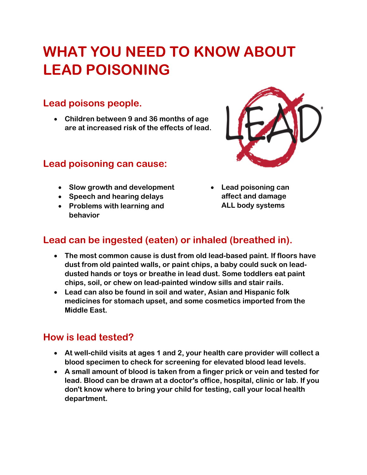# **WHAT YOU NEED TO KNOW ABOUT LEAD POISONING**

#### **Lead poisons people.**

 **Children between 9 and 36 months of age are at increased risk of the effects of lead.**

#### **Lead poisoning can cause:**

- **Slow growth and development**
- **Speech and hearing delays**
- **Problems with learning and behavior**



 **Lead poisoning can affect and damage ALL body systems** 

#### **Lead can be ingested (eaten) or inhaled (breathed in).**

- **The most common cause is dust from old lead-based paint. If floors have dust from old painted walls, or paint chips, a baby could suck on leaddusted hands or toys or breathe in lead dust. Some toddlers eat paint chips, soil, or chew on lead-painted window sills and stair rails.**
- **Lead can also be found in soil and water, Asian and Hispanic folk medicines for stomach upset, and some cosmetics imported from the Middle East.**

#### **How is lead tested?**

- **At well-child visits at ages 1 and 2, your health care provider will collect a blood specimen to check for screening for elevated blood lead levels.**
- **A small amount of blood is taken from a finger prick or vein and tested for lead. Blood can be drawn at a doctor's office, hospital, clinic or lab. If you don't know where to bring your child for testing, call your local health department.**